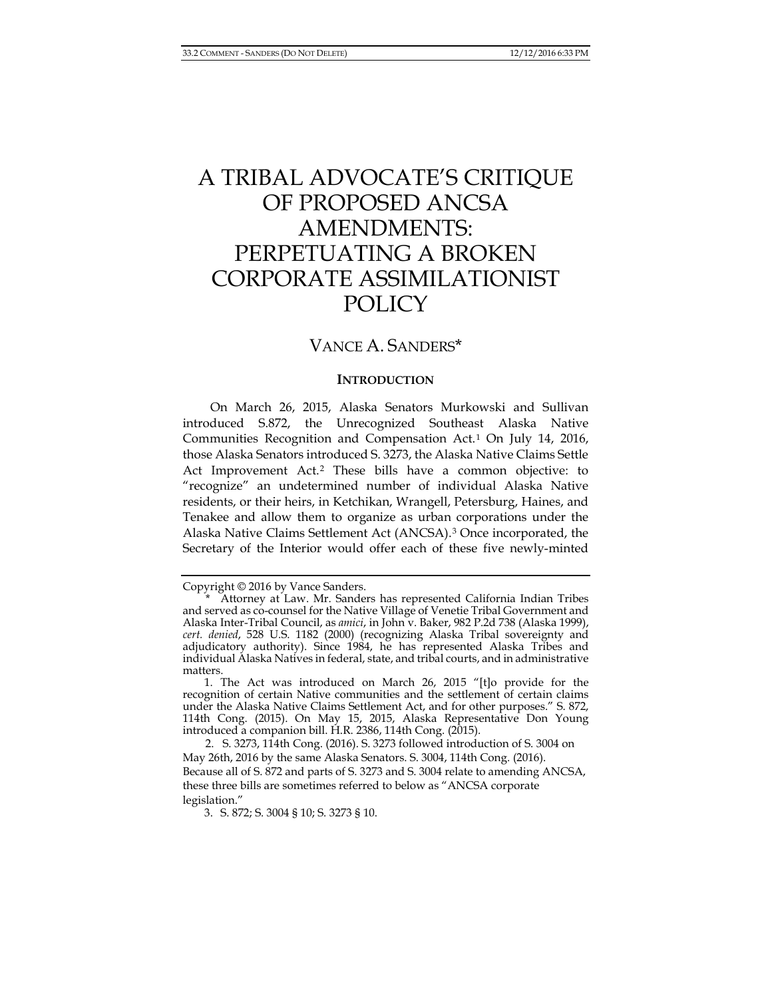# A TRIBAL ADVOCATE'S CRITIQUE OF PROPOSED ANCSA AMENDMENTS: PERPETUATING A BROKEN CORPORATE ASSIMILATIONIST POLICY

# VANCE A. SANDERS\*

#### **INTRODUCTION**

On March 26, 2015, Alaska Senators Murkowski and Sullivan introduced S.872, the Unrecognized Southeast Alaska Native Communities Recognition and Compensation Act.[1](#page-0-0) On July 14, 2016, those Alaska Senators introduced S. 3273, the Alaska Native Claims Settle Act Improvement Act.[2](#page-0-1) These bills have a common objective: to "recognize" an undetermined number of individual Alaska Native residents, or their heirs, in Ketchikan, Wrangell, Petersburg, Haines, and Tenakee and allow them to organize as urban corporations under the Alaska Native Claims Settlement Act (ANCSA).[3](#page-0-2) Once incorporated, the Secretary of the Interior would offer each of these five newly-minted

Copyright © 2016 by Vance Sanders.

<span id="page-0-0"></span>Attorney at Law. Mr. Sanders has represented California Indian Tribes and served as co-counsel for the Native Village of Venetie Tribal Government and Alaska Inter-Tribal Council, as *amici*, in John v. Baker, 982 P.2d 738 (Alaska 1999), *cert. denied*, 528 U.S. 1182 (2000) (recognizing Alaska Tribal sovereignty and adjudicatory authority). Since 1984, he has represented Alaska Tribes and individual Alaska Natives in federal, state, and tribal courts, and in administrative matters.

<sup>1.</sup> The Act was introduced on March 26, 2015 "[t]o provide for the recognition of certain Native communities and the settlement of certain claims under the Alaska Native Claims Settlement Act, and for other purposes." S. 872, 114th Cong. (2015). On May 15, 2015, Alaska Representative Don Young introduced a companion bill. H.R. 2386, 114th Cong. (2015).

<span id="page-0-2"></span><span id="page-0-1"></span><sup>2.</sup> S. 3273, 114th Cong. (2016). S. 3273 followed introduction of S. 3004 on May 26th, 2016 by the same Alaska Senators. S. 3004, 114th Cong. (2016). Because all of S. 872 and parts of S. 3273 and S. 3004 relate to amending ANCSA, these three bills are sometimes referred to below as "ANCSA corporate legislation."

<sup>3.</sup> S. 872; S. 3004 § 10; S. 3273 § 10.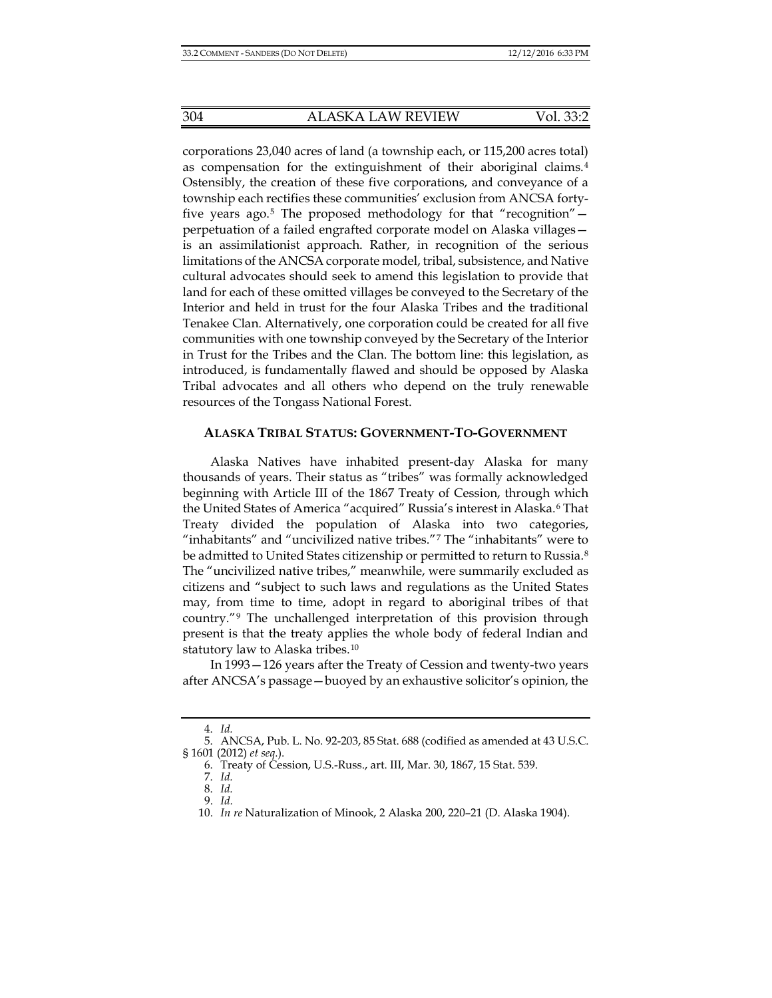corporations 23,040 acres of land (a township each, or 115,200 acres total) as compensation for the extinguishment of their aboriginal claims.[4](#page-1-0) Ostensibly, the creation of these five corporations, and conveyance of a township each rectifies these communities' exclusion from ANCSA fortyfive years ago.[5](#page-1-1) The proposed methodology for that "recognition" perpetuation of a failed engrafted corporate model on Alaska villages is an assimilationist approach. Rather, in recognition of the serious limitations of the ANCSA corporate model, tribal, subsistence, and Native cultural advocates should seek to amend this legislation to provide that land for each of these omitted villages be conveyed to the Secretary of the Interior and held in trust for the four Alaska Tribes and the traditional Tenakee Clan. Alternatively, one corporation could be created for all five communities with one township conveyed by the Secretary of the Interior in Trust for the Tribes and the Clan. The bottom line: this legislation, as introduced, is fundamentally flawed and should be opposed by Alaska Tribal advocates and all others who depend on the truly renewable resources of the Tongass National Forest.

#### **ALASKA TRIBAL STATUS: GOVERNMENT-TO-GOVERNMENT**

Alaska Natives have inhabited present-day Alaska for many thousands of years. Their status as "tribes" was formally acknowledged beginning with Article III of the 1867 Treaty of Cession, through which the United States of America "acquired" Russia's interest in Alaska.[6](#page-1-2) That Treaty divided the population of Alaska into two categories, "inhabitants" and "uncivilized native tribes."[7](#page-1-3) The "inhabitants" were to be admitted to United States citizenship or permitted to return to Russia.<sup>[8](#page-1-4)</sup> The "uncivilized native tribes," meanwhile, were summarily excluded as citizens and "subject to such laws and regulations as the United States may, from time to time, adopt in regard to aboriginal tribes of that country."[9](#page-1-5) The unchallenged interpretation of this provision through present is that the treaty applies the whole body of federal Indian and statutory law to Alaska tribes.[10](#page-1-6)

In 1993—126 years after the Treaty of Cession and twenty-two years after ANCSA's passage—buoyed by an exhaustive solicitor's opinion, the

<sup>4.</sup> *Id.*

<span id="page-1-6"></span><span id="page-1-5"></span><span id="page-1-4"></span><span id="page-1-3"></span><span id="page-1-2"></span><span id="page-1-1"></span><span id="page-1-0"></span><sup>5.</sup> ANCSA, Pub. L. No. 92-203, 85 Stat. 688 (codified as amended at 43 U.S.C. § 1601 (2012) *et seq*.).

<sup>6.</sup> Treaty of Cession, U.S.-Russ., art. III, Mar. 30, 1867, 15 Stat. 539.

<sup>7.</sup> *Id.*

<sup>8.</sup> *Id.*

<sup>9.</sup> *Id.*

<sup>10.</sup> *In re* Naturalization of Minook, 2 Alaska 200, 220–21 (D. Alaska 1904).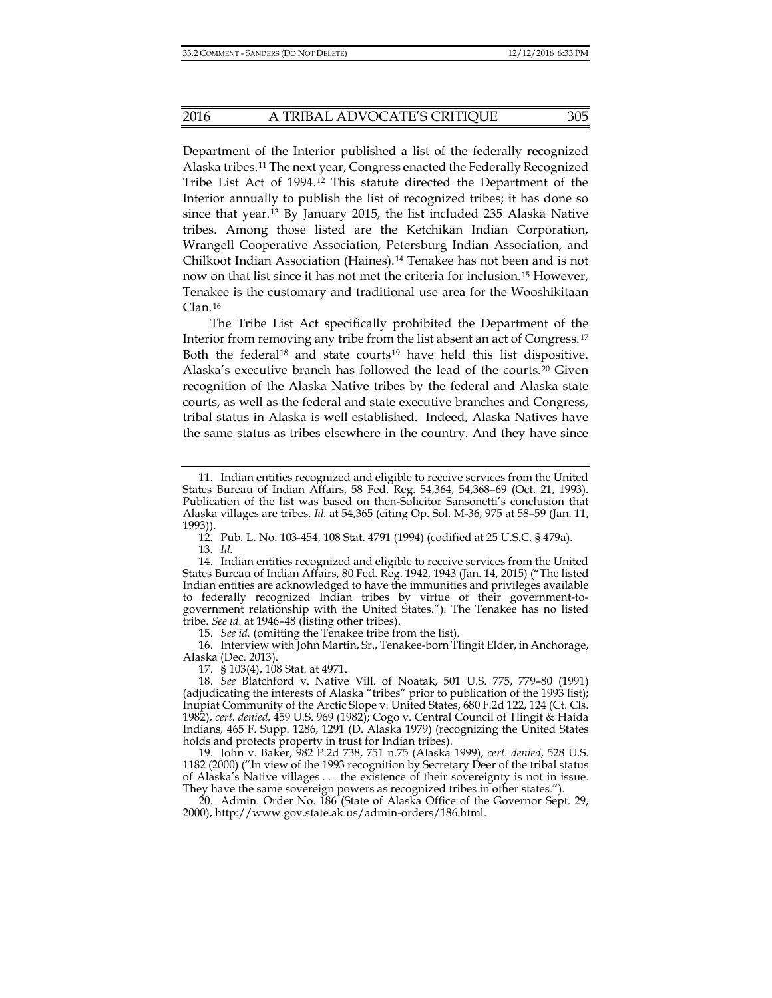Department of the Interior published a list of the federally recognized Alaska tribes.[11](#page-2-0) The next year, Congress enacted the Federally Recognized Tribe List Act of 1994.[12](#page-2-1) This statute directed the Department of the Interior annually to publish the list of recognized tribes; it has done so since that year.[13](#page-2-2) By January 2015, the list included 235 Alaska Native tribes. Among those listed are the Ketchikan Indian Corporation, Wrangell Cooperative Association, Petersburg Indian Association, and Chilkoot Indian Association (Haines).[14](#page-2-3) Tenakee has not been and is not now on that list since it has not met the criteria for inclusion.[15](#page-2-4) However, Tenakee is the customary and traditional use area for the Wooshikitaan Clan.[16](#page-2-5)

The Tribe List Act specifically prohibited the Department of the Interior from removing any tribe from the list absent an act of Congress.[17](#page-2-6) Both the federal<sup>[18](#page-2-7)</sup> and state courts<sup>[19](#page-2-8)</sup> have held this list dispositive. Alaska's executive branch has followed the lead of the courts.[20](#page-2-9) Given recognition of the Alaska Native tribes by the federal and Alaska state courts, as well as the federal and state executive branches and Congress, tribal status in Alaska is well established. Indeed, Alaska Natives have the same status as tribes elsewhere in the country. And they have since

13. *Id.*

<span id="page-2-3"></span><span id="page-2-2"></span><span id="page-2-1"></span>14. Indian entities recognized and eligible to receive services from the United States Bureau of Indian Affairs, 80 Fed. Reg. 1942, 1943 (Jan. 14, 2015) ("The listed Indian entities are acknowledged to have the immunities and privileges available to federally recognized Indian tribes by virtue of their government-togovernment relationship with the United States."). The Tenakee has no listed tribe. *See id.* at 1946–48 (listing other tribes).

15. *See id.* (omitting the Tenakee tribe from the list).

<span id="page-2-5"></span><span id="page-2-4"></span>16. Interview with John Martin, Sr., Tenakee-born Tlingit Elder, in Anchorage, Alaska (Dec. 2013).

17. § 103(4), 108 Stat. at 4971.

<span id="page-2-7"></span><span id="page-2-6"></span>18. *See* Blatchford v. Native Vill. of Noatak, 501 U.S. 775, 779–80 (1991) (adjudicating the interests of Alaska "tribes" prior to publication of the 1993 list); Inupiat Community of the Arctic Slope v. United States, 680 F.2d 122, 124 (Ct. Cls. 1982), *cert. denied*, 459 U.S. 969 (1982); Cogo v. Central Council of Tlingit & Haida Indians*,* 465 F. Supp. 1286, 1291 (D. Alaska 1979) (recognizing the United States holds and protects property in trust for Indian tribes).

<span id="page-2-8"></span>19. John v. Baker, 982 P.2d 738, 751 n.75 (Alaska 1999), *cert. denied*, 528 U.S. 1182 (2000) ("In view of the 1993 recognition by Secretary Deer of the tribal status of Alaska's Native villages . . . the existence of their sovereignty is not in issue. They have the same sovereign powers as recognized tribes in other states.").

<span id="page-2-9"></span>20. Admin. Order No. 186 (State of Alaska Office of the Governor Sept. 29, 2000), http://www.gov.state.ak.us/admin-orders/186.html.

<span id="page-2-0"></span><sup>11.</sup> Indian entities recognized and eligible to receive services from the United States Bureau of Indian Affairs, 58 Fed. Reg. 54,364, 54,368–69 (Oct. 21, 1993). Publication of the list was based on then-Solicitor Sansonetti's conclusion that Alaska villages are tribes. *Id.* at 54,365 (citing Op. Sol. M-36, 975 at 58–59 (Jan. 11, 1993)).

<sup>12.</sup> Pub. L. No. 103-454, 108 Stat. 4791 (1994) (codified at 25 U.S.C. § 479a).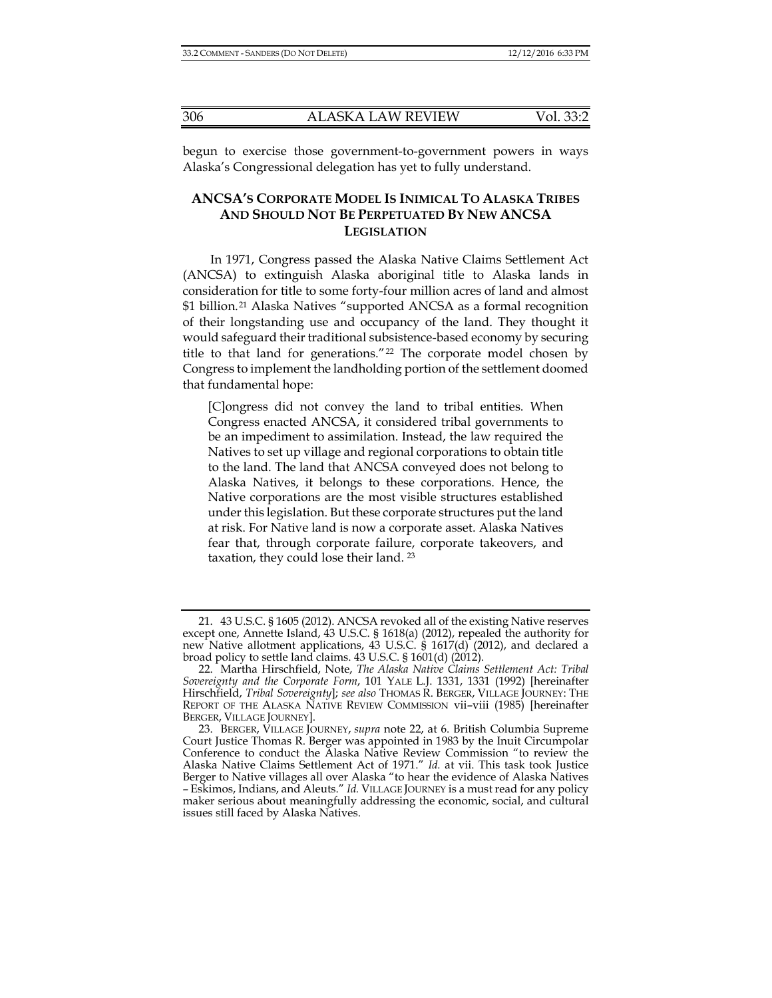begun to exercise those government-to-government powers in ways Alaska's Congressional delegation has yet to fully understand.

### **ANCSA'S CORPORATE MODEL IS INIMICAL TO ALASKA TRIBES AND SHOULD NOT BE PERPETUATED BY NEW ANCSA LEGISLATION**

In 1971, Congress passed the Alaska Native Claims Settlement Act (ANCSA) to extinguish Alaska aboriginal title to Alaska lands in consideration for title to some forty-four million acres of land and almost \$1 billion.[21](#page-3-1) Alaska Natives "supported ANCSA as a formal recognition of their longstanding use and occupancy of the land. They thought it would safeguard their traditional subsistence-based economy by securing title to that land for generations." $22$  The corporate model chosen by Congress to implement the landholding portion of the settlement doomed that fundamental hope:

<span id="page-3-0"></span>[C]ongress did not convey the land to tribal entities. When Congress enacted ANCSA, it considered tribal governments to be an impediment to assimilation. Instead, the law required the Natives to set up village and regional corporations to obtain title to the land. The land that ANCSA conveyed does not belong to Alaska Natives, it belongs to these corporations. Hence, the Native corporations are the most visible structures established under this legislation. But these corporate structures put the land at risk. For Native land is now a corporate asset. Alaska Natives fear that, through corporate failure, corporate takeovers, and taxation, they could lose their land.<sup>[23](#page-3-3)</sup>

<span id="page-3-1"></span><sup>21.</sup> 43 U.S.C. § 1605 (2012). ANCSA revoked all of the existing Native reserves except one, Annette Island, 43 U.S.C. § 1618(a) (2012), repealed the authority for new Native allotment applications, 43 U.S.C. § 1617(d) (2012), and declared a broad policy to settle land claims. 43 U.S.C. § 1601(d) (2012).

<span id="page-3-2"></span><sup>22.</sup> Martha Hirschfield, Note, *The Alaska Native Claims Settlement Act: Tribal Sovereignty and the Corporate Form*, 101 YALE L.J. 1331, 1331 (1992) [hereinafter Hirschfield, *Tribal Sovereignty*]; *see also* THOMAS R. BERGER, VILLAGE JOURNEY: THE REPORT OF THE ALASKA NATIVE REVIEW COMMISSION vii–viii (1985) [hereinafter BERGER, VILLAGE JOURNEY].

<span id="page-3-3"></span><sup>23.</sup> BERGER, VILLAGE JOURNEY, *supra* note [22,](#page-3-0) at 6. British Columbia Supreme Court Justice Thomas R. Berger was appointed in 1983 by the Inuit Circumpolar Conference to conduct the Alaska Native Review Commission "to review the Alaska Native Claims Settlement Act of 1971." *Id.* at vii. This task took Justice Berger to Native villages all over Alaska "to hear the evidence of Alaska Natives – Eskimos, Indians, and Aleuts." *Id.* VILLAGE JOURNEY is a must read for any policy maker serious about meaningfully addressing the economic, social, and cultural issues still faced by Alaska Natives.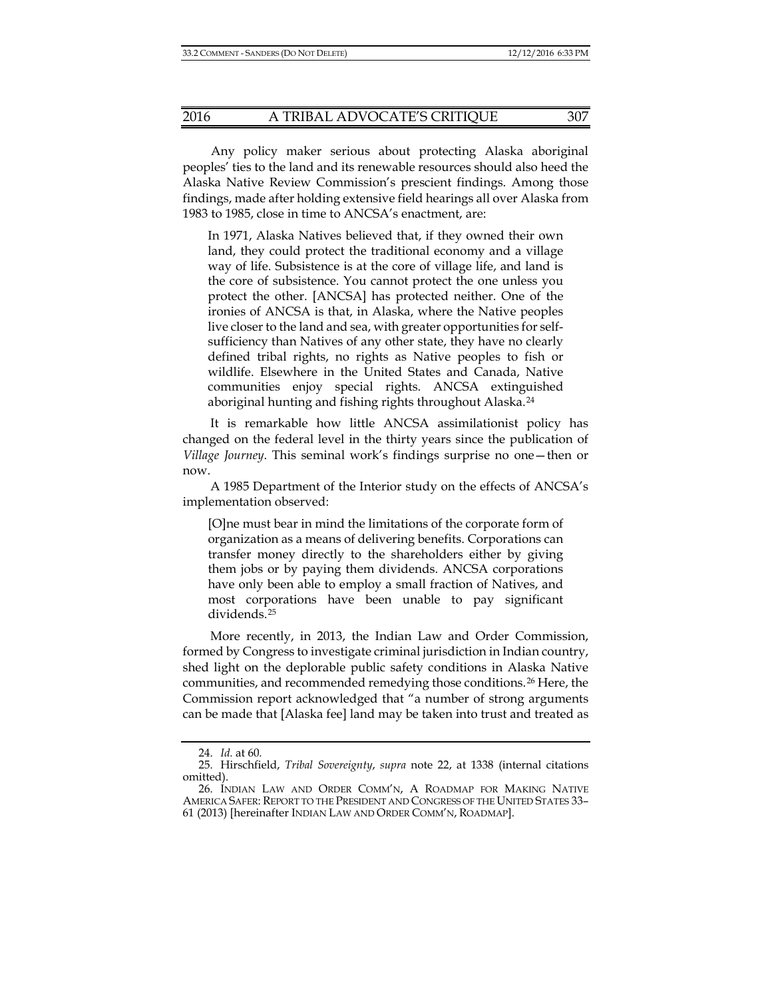Any policy maker serious about protecting Alaska aboriginal peoples' ties to the land and its renewable resources should also heed the Alaska Native Review Commission's prescient findings. Among those findings, made after holding extensive field hearings all over Alaska from 1983 to 1985, close in time to ANCSA's enactment, are:

In 1971, Alaska Natives believed that, if they owned their own land, they could protect the traditional economy and a village way of life. Subsistence is at the core of village life, and land is the core of subsistence. You cannot protect the one unless you protect the other. [ANCSA] has protected neither. One of the ironies of ANCSA is that, in Alaska, where the Native peoples live closer to the land and sea, with greater opportunities for selfsufficiency than Natives of any other state, they have no clearly defined tribal rights, no rights as Native peoples to fish or wildlife. Elsewhere in the United States and Canada, Native communities enjoy special rights. ANCSA extinguished aboriginal hunting and fishing rights throughout Alaska.<sup>[24](#page-4-0)</sup>

It is remarkable how little ANCSA assimilationist policy has changed on the federal level in the thirty years since the publication of *Village Journey*. This seminal work's findings surprise no one—then or now.

A 1985 Department of the Interior study on the effects of ANCSA's implementation observed:

[O]ne must bear in mind the limitations of the corporate form of organization as a means of delivering benefits. Corporations can transfer money directly to the shareholders either by giving them jobs or by paying them dividends. ANCSA corporations have only been able to employ a small fraction of Natives, and most corporations have been unable to pay significant dividends.[25](#page-4-1)

More recently, in 2013, the Indian Law and Order Commission, formed by Congress to investigate criminal jurisdiction in Indian country, shed light on the deplorable public safety conditions in Alaska Native communities, and recommended remedying those conditions.[26](#page-4-2) Here, the Commission report acknowledged that "a number of strong arguments can be made that [Alaska fee] land may be taken into trust and treated as

<span id="page-4-3"></span><sup>24.</sup> *Id.* at 60*.*

<span id="page-4-1"></span><span id="page-4-0"></span><sup>25.</sup> Hirschfield, *Tribal Sovereignty*, *supra* note [22,](#page-3-0) at 1338 (internal citations omitted).

<span id="page-4-2"></span><sup>26.</sup> INDIAN LAW AND ORDER COMM'N, A ROADMAP FOR MAKING NATIVE AMERICA SAFER: REPORT TO THE PRESIDENT AND CONGRESS OF THE UNITED STATES 33– 61 (2013) [hereinafter INDIAN LAW AND ORDER COMM'N, ROADMAP].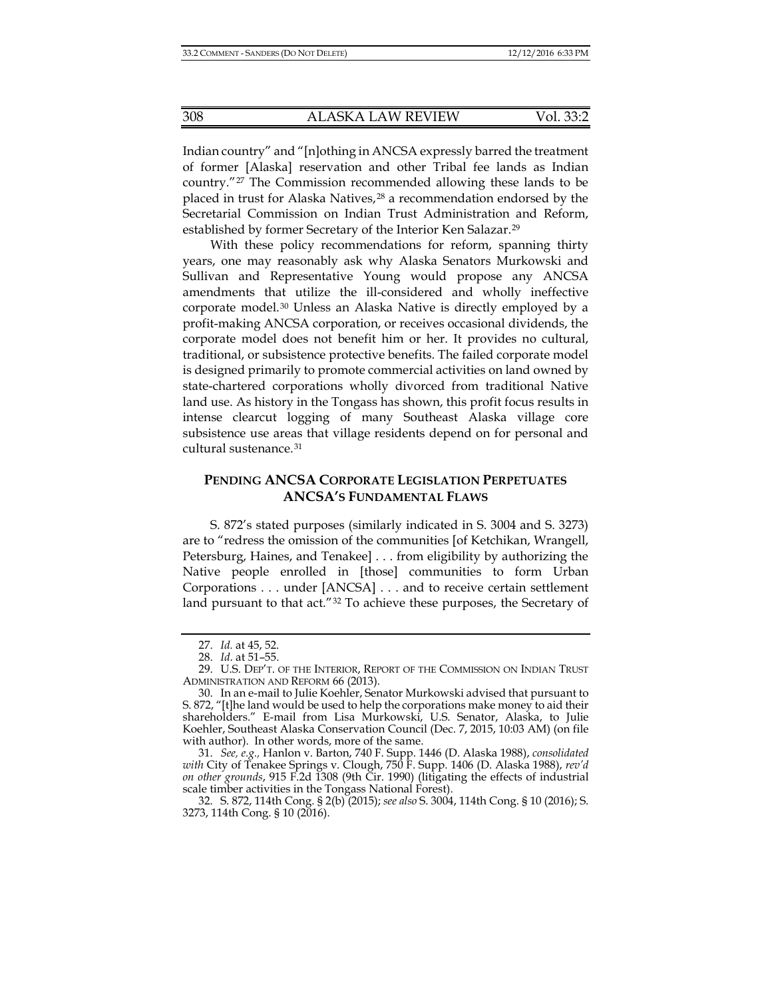Indian country" and "[n]othing in ANCSA expressly barred the treatment of former [Alaska] reservation and other Tribal fee lands as Indian country."[27](#page-5-0) The Commission recommended allowing these lands to be placed in trust for Alaska Natives,<sup>[28](#page-5-1)</sup> a recommendation endorsed by the Secretarial Commission on Indian Trust Administration and Reform, established by former Secretary of the Interior Ken Salazar.[29](#page-5-2)

<span id="page-5-6"></span>With these policy recommendations for reform, spanning thirty years, one may reasonably ask why Alaska Senators Murkowski and Sullivan and Representative Young would propose any ANCSA amendments that utilize the ill-considered and wholly ineffective corporate model.[30](#page-5-3) Unless an Alaska Native is directly employed by a profit-making ANCSA corporation, or receives occasional dividends, the corporate model does not benefit him or her. It provides no cultural, traditional, or subsistence protective benefits. The failed corporate model is designed primarily to promote commercial activities on land owned by state-chartered corporations wholly divorced from traditional Native land use. As history in the Tongass has shown, this profit focus results in intense clearcut logging of many Southeast Alaska village core subsistence use areas that village residents depend on for personal and cultural sustenance.[31](#page-5-4)

### **PENDING ANCSA CORPORATE LEGISLATION PERPETUATES ANCSA'S FUNDAMENTAL FLAWS**

S. 872's stated purposes (similarly indicated in S. 3004 and S. 3273) are to "redress the omission of the communities [of Ketchikan, Wrangell, Petersburg, Haines, and Tenakee] . . . from eligibility by authorizing the Native people enrolled in [those] communities to form Urban Corporations . . . under [ANCSA] . . . and to receive certain settlement land pursuant to that act."<sup>[32](#page-5-5)</sup> To achieve these purposes, the Secretary of

<sup>27.</sup> *Id.* at 45, 52.

<sup>28.</sup> *Id*. at 51–55.

<span id="page-5-2"></span><span id="page-5-1"></span><span id="page-5-0"></span><sup>29.</sup> U.S. DEP'T. OF THE INTERIOR, REPORT OF THE COMMISSION ON INDIAN TRUST ADMINISTRATION AND REFORM 66 (2013).

<span id="page-5-3"></span><sup>30.</sup> In an e-mail to Julie Koehler, Senator Murkowski advised that pursuant to S. 872, "[t]he land would be used to help the corporations make money to aid their shareholders." E-mail from Lisa Murkowski, U.S. Senator, Alaska, to Julie Koehler, Southeast Alaska Conservation Council (Dec. 7, 2015, 10:03 AM) (on file with author). In other words, more of the same.

<span id="page-5-4"></span><sup>31.</sup> *See, e.g.,* Hanlon v. Barton, 740 F. Supp. 1446 (D. Alaska 1988), *consolidated with* City of Tenakee Springs v. Clough, 750 F. Supp. 1406 (D. Alaska 1988), *rev'd on other grounds*, 915 F.2d 1308 (9th Cir. 1990) (litigating the effects of industrial scale timber activities in the Tongass National Forest).

<span id="page-5-5"></span><sup>32.</sup> S. 872, 114th Cong. § 2(b) (2015); *see also* S. 3004, 114th Cong. § 10 (2016); S. 3273, 114th Cong. § 10 (2016).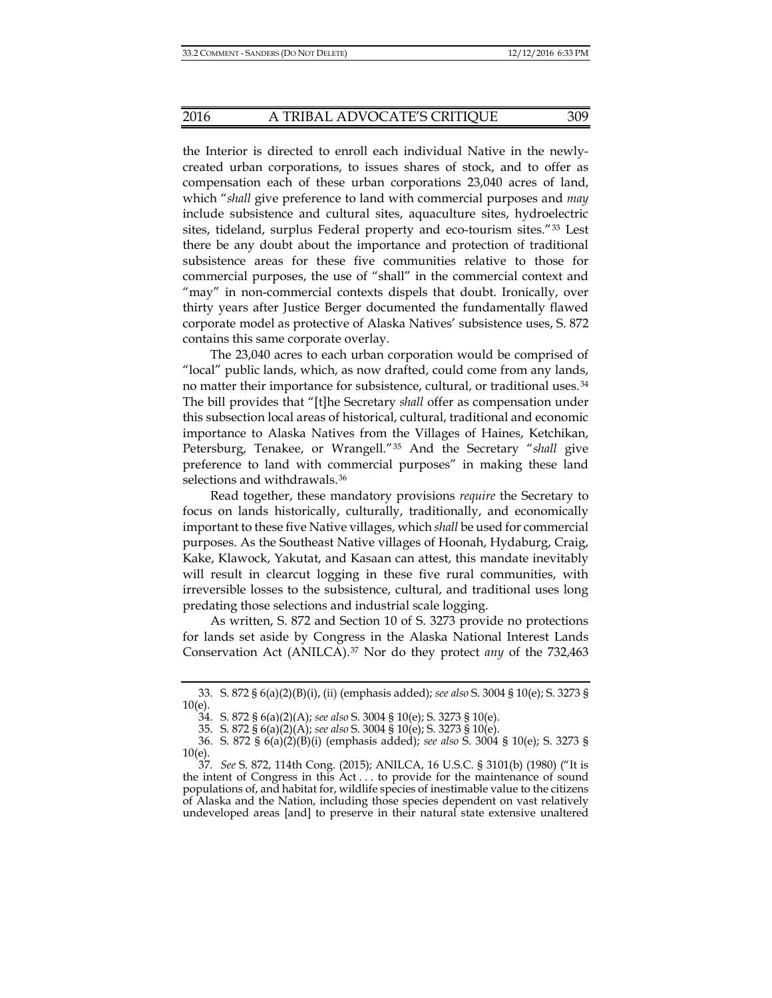the Interior is directed to enroll each individual Native in the newlycreated urban corporations, to issues shares of stock, and to offer as compensation each of these urban corporations 23,040 acres of land, which "*shall* give preference to land with commercial purposes and *may* include subsistence and cultural sites, aquaculture sites, hydroelectric sites, tideland, surplus Federal property and eco-tourism sites."[33](#page-6-0) Lest there be any doubt about the importance and protection of traditional subsistence areas for these five communities relative to those for commercial purposes, the use of "shall" in the commercial context and "may" in non-commercial contexts dispels that doubt. Ironically, over thirty years after Justice Berger documented the fundamentally flawed corporate model as protective of Alaska Natives' subsistence uses, S. 872 contains this same corporate overlay.

The 23,040 acres to each urban corporation would be comprised of "local" public lands, which, as now drafted, could come from any lands, no matter their importance for subsistence, cultural, or traditional uses.[34](#page-6-1) The bill provides that "[t]he Secretary *shall* offer as compensation under this subsection local areas of historical, cultural, traditional and economic importance to Alaska Natives from the Villages of Haines, Ketchikan, Petersburg, Tenakee, or Wrangell."[35](#page-6-2) And the Secretary "*shall* give preference to land with commercial purposes" in making these land selections and withdrawals.<sup>[36](#page-6-3)</sup>

Read together, these mandatory provisions *require* the Secretary to focus on lands historically, culturally, traditionally, and economically important to these five Native villages, which *shall* be used for commercial purposes. As the Southeast Native villages of Hoonah, Hydaburg, Craig, Kake, Klawock, Yakutat, and Kasaan can attest, this mandate inevitably will result in clearcut logging in these five rural communities, with irreversible losses to the subsistence, cultural, and traditional uses long predating those selections and industrial scale logging.

As written, S. 872 and Section 10 of S. 3273 provide no protections for lands set aside by Congress in the Alaska National Interest Lands Conservation Act (ANILCA).[37](#page-6-4) Nor do they protect *any* of the 732,463

<span id="page-6-1"></span><span id="page-6-0"></span><sup>33.</sup> S. 872 § 6(a)(2)(B)(i), (ii) (emphasis added); *see also* S. 3004 § 10(e); S. 3273 § 10(e).

<sup>34.</sup> S. 872 § 6(a)(2)(A); *see also* S. 3004 § 10(e); S. 3273 § 10(e).

<sup>35.</sup> S. 872 § 6(a)(2)(A); *see also* S. 3004 § 10(e); S. 3273 § 10(e).

<span id="page-6-3"></span><span id="page-6-2"></span><sup>36.</sup> S. 872 § 6(a)(2)(B)(i) (emphasis added); *see also* S. 3004 § 10(e); S. 3273 § 10(e).

<span id="page-6-4"></span><sup>37</sup>*. See* S. 872, 114th Cong. (2015); ANILCA, 16 U.S.C. § 3101(b) (1980) ("It is the intent of Congress in this Act . . . to provide for the maintenance of sound populations of, and habitat for, wildlife species of inestimable value to the citizens of Alaska and the Nation, including those species dependent on vast relatively undeveloped areas [and] to preserve in their natural state extensive unaltered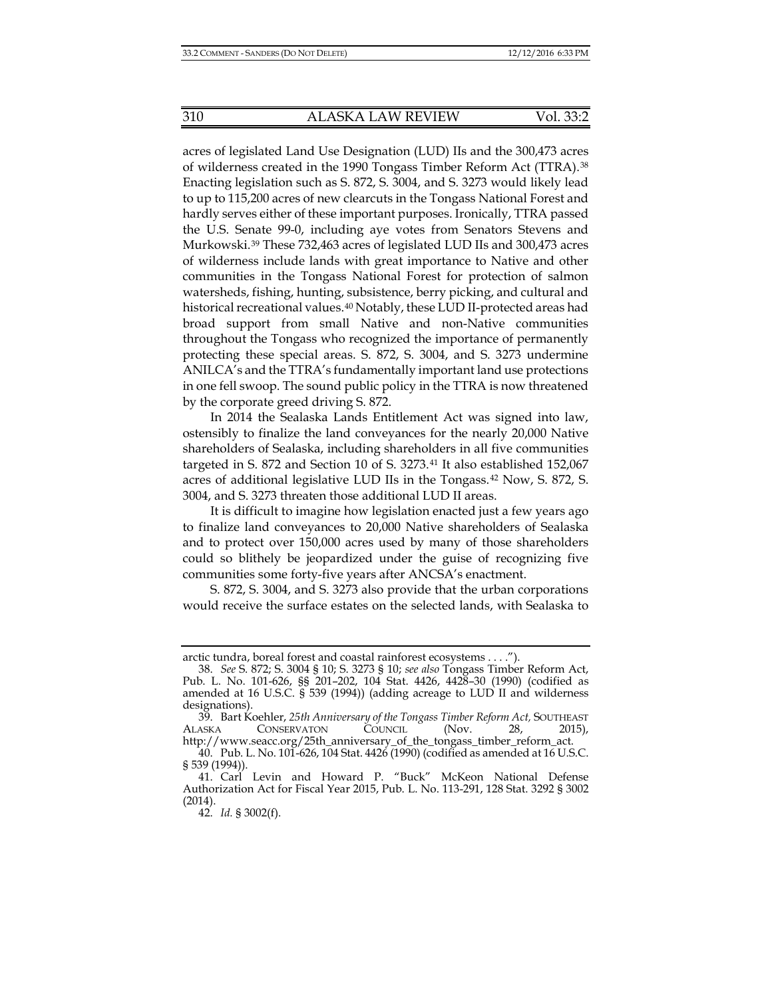acres of legislated Land Use Designation (LUD) IIs and the 300,473 acres of wilderness created in the 1990 Tongass Timber Reform Act (TTRA).[38](#page-7-0) Enacting legislation such as S. 872, S. 3004, and S. 3273 would likely lead to up to 115,200 acres of new clearcuts in the Tongass National Forest and hardly serves either of these important purposes. Ironically, TTRA passed the U.S. Senate 99-0, including aye votes from Senators Stevens and Murkowski.[39](#page-7-1) These 732,463 acres of legislated LUD IIs and 300,473 acres of wilderness include lands with great importance to Native and other communities in the Tongass National Forest for protection of salmon watersheds, fishing, hunting, subsistence, berry picking, and cultural and historical recreational values.[40](#page-7-2) Notably, these LUD II-protected areas had broad support from small Native and non-Native communities throughout the Tongass who recognized the importance of permanently protecting these special areas. S. 872, S. 3004, and S. 3273 undermine ANILCA's and the TTRA's fundamentally important land use protections in one fell swoop. The sound public policy in the TTRA is now threatened by the corporate greed driving S. 872.

In 2014 the Sealaska Lands Entitlement Act was signed into law, ostensibly to finalize the land conveyances for the nearly 20,000 Native shareholders of Sealaska, including shareholders in all five communities targeted in S. 872 and Section 10 of S. 3273.[41](#page-7-3) It also established 152,067 acres of additional legislative LUD IIs in the Tongass.[42](#page-7-4) Now, S. 872, S. 3004, and S. 3273 threaten those additional LUD II areas.

It is difficult to imagine how legislation enacted just a few years ago to finalize land conveyances to 20,000 Native shareholders of Sealaska and to protect over 150,000 acres used by many of those shareholders could so blithely be jeopardized under the guise of recognizing five communities some forty-five years after ANCSA's enactment.

S. 872, S. 3004, and S. 3273 also provide that the urban corporations would receive the surface estates on the selected lands, with Sealaska to

arctic tundra, boreal forest and coastal rainforest ecosystems . . . .").

<span id="page-7-0"></span><sup>38.</sup> *See* S. 872; S. 3004 § 10; S. 3273 § 10; *see also* Tongass Timber Reform Act, Pub. L. No. 101-626, §§ 201–202, 104 Stat. 4426, 4428–30 (1990) (codified as amended at 16 U.S.C. § 539 (1994)) (adding acreage to LUD II and wilderness designations).

<span id="page-7-1"></span><sup>39.</sup> Bart Koehler, *25th Anniversary of the Tongass Timber Reform Act,* SOUTHEAST ALASKA CONSERVATON COUNCIL (Nov. 28, 2015), http://www.seacc.org/25th\_anniversary\_of\_the\_tongass\_timber\_reform\_act.

<span id="page-7-2"></span><sup>40.</sup> Pub. L. No. 101-626, 104 Stat. 4426 (1990) (codified as amended at 16 U.S.C. § 539 (1994)).

<span id="page-7-4"></span><span id="page-7-3"></span><sup>41.</sup> Carl Levin and Howard P. "Buck" McKeon National Defense Authorization Act for Fiscal Year 2015, Pub. L. No. 113-291, 128 Stat. 3292 § 3002 (2014).

<sup>42.</sup> *Id.* § 3002(f).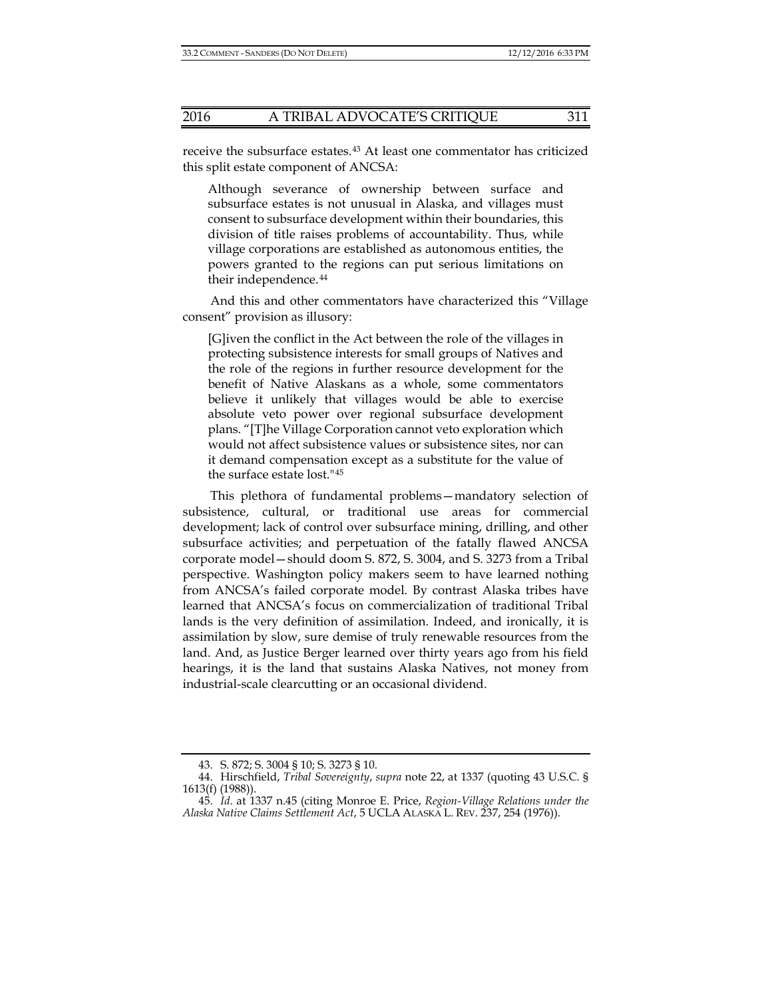receive the subsurface estates.[43](#page-8-0) At least one commentator has criticized this split estate component of ANCSA:

Although severance of ownership between surface and subsurface estates is not unusual in Alaska, and villages must consent to subsurface development within their boundaries, this division of title raises problems of accountability. Thus, while village corporations are established as autonomous entities, the powers granted to the regions can put serious limitations on their independence.[44](#page-8-1)

And this and other commentators have characterized this "Village consent" provision as illusory:

[G]iven the conflict in the Act between the role of the villages in protecting subsistence interests for small groups of Natives and the role of the regions in further resource development for the benefit of Native Alaskans as a whole, some commentators believe it unlikely that villages would be able to exercise absolute veto power over regional subsurface development plans. "[T]he Village Corporation cannot veto exploration which would not affect subsistence values or subsistence sites, nor can it demand compensation except as a substitute for the value of the surface estate lost."[45](#page-8-2)

This plethora of fundamental problems—mandatory selection of subsistence, cultural, or traditional use areas for commercial development; lack of control over subsurface mining, drilling, and other subsurface activities; and perpetuation of the fatally flawed ANCSA corporate model—should doom S. 872, S. 3004, and S. 3273 from a Tribal perspective. Washington policy makers seem to have learned nothing from ANCSA's failed corporate model. By contrast Alaska tribes have learned that ANCSA's focus on commercialization of traditional Tribal lands is the very definition of assimilation. Indeed, and ironically, it is assimilation by slow, sure demise of truly renewable resources from the land. And, as Justice Berger learned over thirty years ago from his field hearings, it is the land that sustains Alaska Natives, not money from industrial-scale clearcutting or an occasional dividend.

<sup>43.</sup> S. 872; S. 3004 § 10; S. 3273 § 10.

<span id="page-8-1"></span><span id="page-8-0"></span><sup>44.</sup> Hirschfield, *Tribal Sovereignty*, *supra* note [22,](#page-3-0) at 1337 (quoting 43 U.S.C. § 1613(f) (1988)).

<span id="page-8-2"></span><sup>45.</sup> *Id*. at 1337 n.45 (citing Monroe E. Price, *Region-Village Relations under the Alaska Native Claims Settlement Act*, 5 UCLA ALASKA L. REV. 237, 254 (1976)).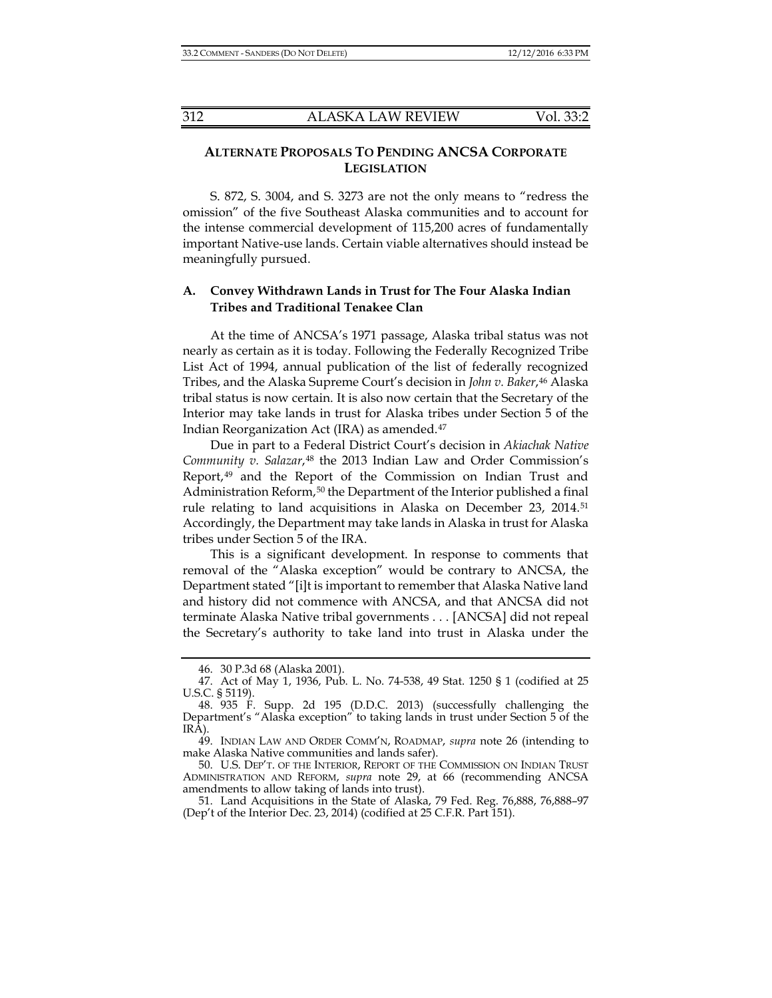# **ALTERNATE PROPOSALS TO PENDING ANCSA CORPORATE LEGISLATION**

S. 872, S. 3004, and S. 3273 are not the only means to "redress the omission" of the five Southeast Alaska communities and to account for the intense commercial development of 115,200 acres of fundamentally important Native-use lands. Certain viable alternatives should instead be meaningfully pursued.

#### **A. Convey Withdrawn Lands in Trust for The Four Alaska Indian Tribes and Traditional Tenakee Clan**

At the time of ANCSA's 1971 passage, Alaska tribal status was not nearly as certain as it is today. Following the Federally Recognized Tribe List Act of 1994, annual publication of the list of federally recognized Tribes, and the Alaska Supreme Court's decision in *John v. Baker*,[46](#page-9-0) Alaska tribal status is now certain. It is also now certain that the Secretary of the Interior may take lands in trust for Alaska tribes under Section 5 of the Indian Reorganization Act (IRA) as amended.[47](#page-9-1)

Due in part to a Federal District Court's decision in *Akiachak Native Community v. Salazar*,[48](#page-9-2) the 2013 Indian Law and Order Commission's Report,[49](#page-9-3) and the Report of the Commission on Indian Trust and Administration Reform,<sup>[50](#page-9-4)</sup> the Department of the Interior published a final rule relating to land acquisitions in Alaska on December 23, 2014[.51](#page-9-5) Accordingly, the Department may take lands in Alaska in trust for Alaska tribes under Section 5 of the IRA.

This is a significant development. In response to comments that removal of the "Alaska exception" would be contrary to ANCSA, the Department stated "[i]t is important to remember that Alaska Native land and history did not commence with ANCSA, and that ANCSA did not terminate Alaska Native tribal governments . . . [ANCSA] did not repeal the Secretary's authority to take land into trust in Alaska under the

<sup>46.</sup> 30 P.3d 68 (Alaska 2001).

<span id="page-9-1"></span><span id="page-9-0"></span><sup>47.</sup> Act of May 1, 1936, Pub. L. No. 74-538, 49 Stat. 1250 § 1 (codified at 25 U.S.C. § 5119).

<span id="page-9-2"></span><sup>48.</sup> 935 F. Supp. 2d 195 (D.D.C. 2013) (successfully challenging the Department's "Alaska exception" to taking lands in trust under Section 5 of the IRA).

<span id="page-9-3"></span><sup>49.</sup> INDIAN LAW AND ORDER COMM'N, ROADMAP, *supra* note [26](#page-4-3) (intending to make Alaska Native communities and lands safer).

<span id="page-9-4"></span><sup>50.</sup> U.S. DEP'T. OF THE INTERIOR, REPORT OF THE COMMISSION ON INDIAN TRUST ADMINISTRATION AND REFORM, *supra* note [29,](#page-5-6) at 66 (recommending ANCSA amendments to allow taking of lands into trust).

<span id="page-9-5"></span><sup>51.</sup> Land Acquisitions in the State of Alaska, 79 Fed. Reg. 76,888, 76,888–97 (Dep't of the Interior Dec. 23, 2014) (codified at 25 C.F.R. Part 151).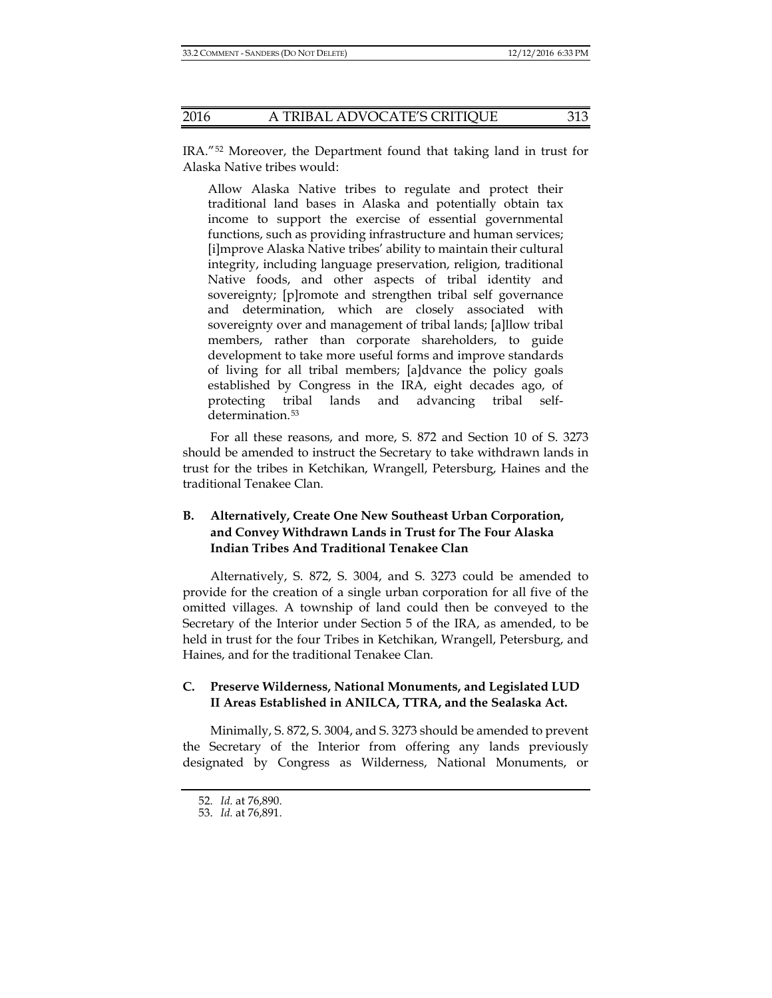IRA."[52](#page-10-0) Moreover, the Department found that taking land in trust for Alaska Native tribes would:

Allow Alaska Native tribes to regulate and protect their traditional land bases in Alaska and potentially obtain tax income to support the exercise of essential governmental functions, such as providing infrastructure and human services; [i]mprove Alaska Native tribes' ability to maintain their cultural integrity, including language preservation, religion, traditional Native foods, and other aspects of tribal identity and sovereignty; [p]romote and strengthen tribal self governance and determination, which are closely associated with sovereignty over and management of tribal lands; [a]llow tribal members, rather than corporate shareholders, to guide development to take more useful forms and improve standards of living for all tribal members; [a]dvance the policy goals established by Congress in the IRA, eight decades ago, of protecting tribal lands and advancing tribal self-determination.<sup>[53](#page-10-1)</sup>

For all these reasons, and more, S. 872 and Section 10 of S. 3273 should be amended to instruct the Secretary to take withdrawn lands in trust for the tribes in Ketchikan, Wrangell, Petersburg, Haines and the traditional Tenakee Clan.

# **B. Alternatively, Create One New Southeast Urban Corporation, and Convey Withdrawn Lands in Trust for The Four Alaska Indian Tribes And Traditional Tenakee Clan**

Alternatively, S. 872, S. 3004, and S. 3273 could be amended to provide for the creation of a single urban corporation for all five of the omitted villages. A township of land could then be conveyed to the Secretary of the Interior under Section 5 of the IRA, as amended, to be held in trust for the four Tribes in Ketchikan, Wrangell, Petersburg, and Haines, and for the traditional Tenakee Clan.

### **C. Preserve Wilderness, National Monuments, and Legislated LUD II Areas Established in ANILCA, TTRA, and the Sealaska Act.**

<span id="page-10-0"></span>Minimally, S. 872, S. 3004, and S. 3273 should be amended to prevent the Secretary of the Interior from offering any lands previously designated by Congress as Wilderness, National Monuments, or

<sup>52.</sup> *Id.* at 76,890.

<span id="page-10-1"></span><sup>53.</sup> *Id.* at 76,891.